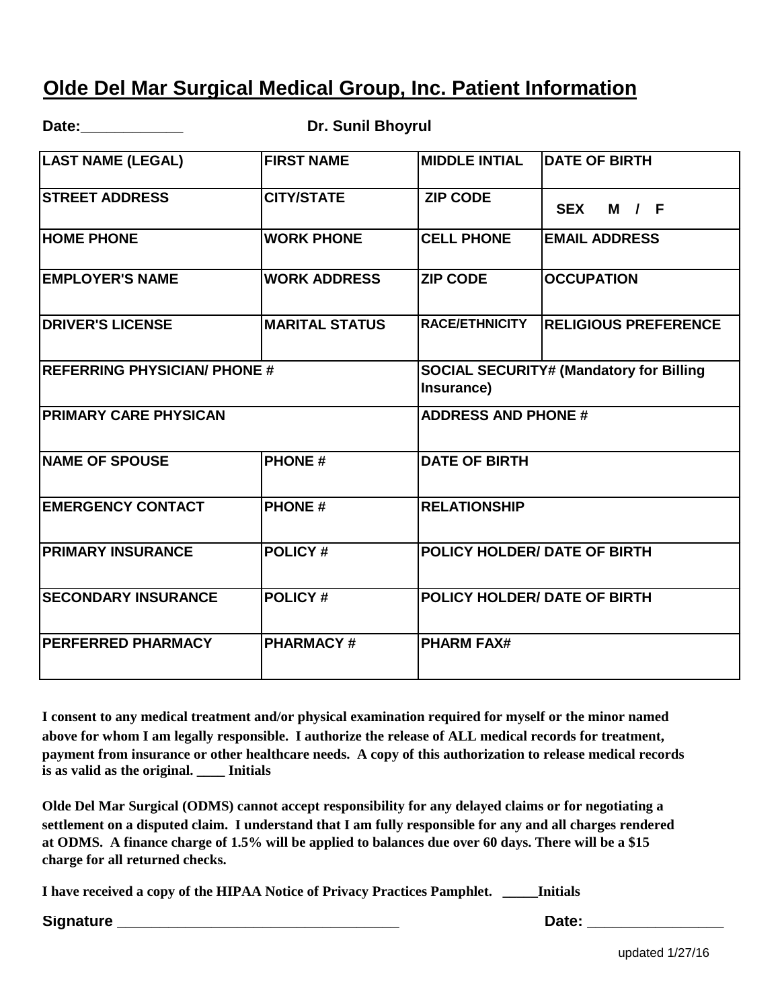## **Olde Del Mar Surgical Medical Group, Inc. Patient Information**

Date: Date: **Dr. Sunil Bhoyrul 1999** 

| <b>LAST NAME (LEGAL)</b>            | <b>FIRST NAME</b>     | <b>MIDDLE INTIAL</b>                                         | <b>DATE OF BIRTH</b>        |
|-------------------------------------|-----------------------|--------------------------------------------------------------|-----------------------------|
| <b>STREET ADDRESS</b>               | <b>CITY/STATE</b>     | <b>ZIP CODE</b>                                              | <b>SEX</b><br>M / F         |
| <b>HOME PHONE</b>                   | <b>WORK PHONE</b>     | <b>CELL PHONE</b>                                            | <b>EMAIL ADDRESS</b>        |
| <b>EMPLOYER'S NAME</b>              | <b>WORK ADDRESS</b>   | <b>ZIP CODE</b>                                              | <b>OCCUPATION</b>           |
| <b>DRIVER'S LICENSE</b>             | <b>MARITAL STATUS</b> | RACE/ETHNICITY                                               | <b>RELIGIOUS PREFERENCE</b> |
| <b>REFERRING PHYSICIAN/ PHONE #</b> |                       | <b>SOCIAL SECURITY# (Mandatory for Billing</b><br>Insurance) |                             |
| <b>PRIMARY CARE PHYSICAN</b>        |                       | <b>ADDRESS AND PHONE #</b>                                   |                             |
| <b>NAME OF SPOUSE</b>               | <b>PHONE#</b>         | <b>DATE OF BIRTH</b>                                         |                             |
| <b>EMERGENCY CONTACT</b>            | <b>PHONE#</b>         | <b>RELATIONSHIP</b>                                          |                             |
| <b>PRIMARY INSURANCE</b>            | <b>POLICY#</b>        | POLICY HOLDER/ DATE OF BIRTH                                 |                             |
| <b>SECONDARY INSURANCE</b>          | <b>POLICY#</b>        | <b>POLICY HOLDER/ DATE OF BIRTH</b>                          |                             |
| <b>PERFERRED PHARMACY</b>           | <b>PHARMACY#</b>      | <b>PHARM FAX#</b>                                            |                             |

**I consent to any medical treatment and/or physical examination required for myself or the minor named above for whom I am legally responsible. I authorize the release of ALL medical records for treatment, payment from insurance or other healthcare needs. A copy of this authorization to release medical records is as valid as the original. \_\_\_\_ Initials**

**Olde Del Mar Surgical (ODMS) cannot accept responsibility for any delayed claims or for negotiating a settlement on a disputed claim. I understand that I am fully responsible for any and all charges rendered at ODMS. A finance charge of 1.5% will be applied to balances due over 60 days. There will be a \$15 charge for all returned checks.**

**I have received a copy of the HIPAA Notice of Privacy Practices Pamphlet. \_\_\_\_\_Initials**

**Signature \_\_\_\_\_\_\_\_\_\_\_\_\_\_\_\_\_\_\_\_\_\_\_\_\_\_\_\_\_\_\_\_\_ Date: \_\_\_\_\_\_\_\_\_\_\_\_\_\_\_\_**